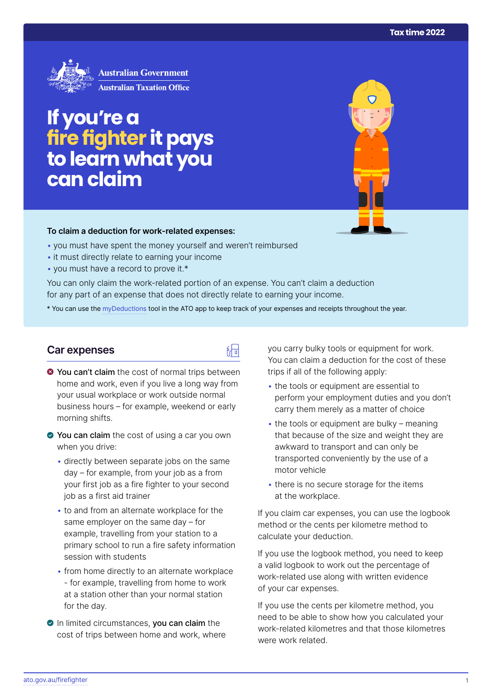

# **If you're a fire fighter it pays to learn what you can claim**

#### **To claim a deduction for work‑related expenses:**

- you must have spent the money yourself and weren't reimbursed
- it must directly relate to earning your income
- you must have a record to prove it.\*

You can only claim the work-related portion of an expense. You can't claim a deduction for any part of an expense that does not directly relate to earning your income.

\* You can use the [myDeductions](https://ato.gov.au/mydeductions) tool in the ATO app to keep track of your expenses and receipts throughout the year.

品

## **Car expenses**

- $\bullet$  You can't claim the cost of normal trips between home and work, even if you live a long way from your usual workplace or work outside normal business hours – for example, weekend or early morning shifts.
- ◆ You can claim the cost of using a car you own when you drive:
	- directly between separate jobs on the same day – for example, from your job as a from your first job as a fire fighter to your second job as a first aid trainer
	- to and from an alternate workplace for the same employer on the same day – for example, travelling from your station to a primary school to run a fire safety information session with students
	- from home directly to an alternate workplace - for example, travelling from home to work at a station other than your normal station for the day.
- **O** In limited circumstances, you can claim the cost of trips between home and work, where

you carry bulky tools or equipment for work. You can claim a deduction for the cost of these trips if all of the following apply:

- the tools or equipment are essential to perform your employment duties and you don't carry them merely as a matter of choice
- the tools or equipment are bulky meaning that because of the size and weight they are awkward to transport and can only be transported conveniently by the use of a motor vehicle
- there is no secure storage for the items at the workplace.

If you claim car expenses, you can use the logbook method or the cents per kilometre method to calculate your deduction.

If you use the logbook method, you need to keep a valid logbook to work out the percentage of work-related use along with written evidence of your car expenses.

If you use the cents per kilometre method, you need to be able to show how you calculated your work-related kilometres and that those kilometres were work related.